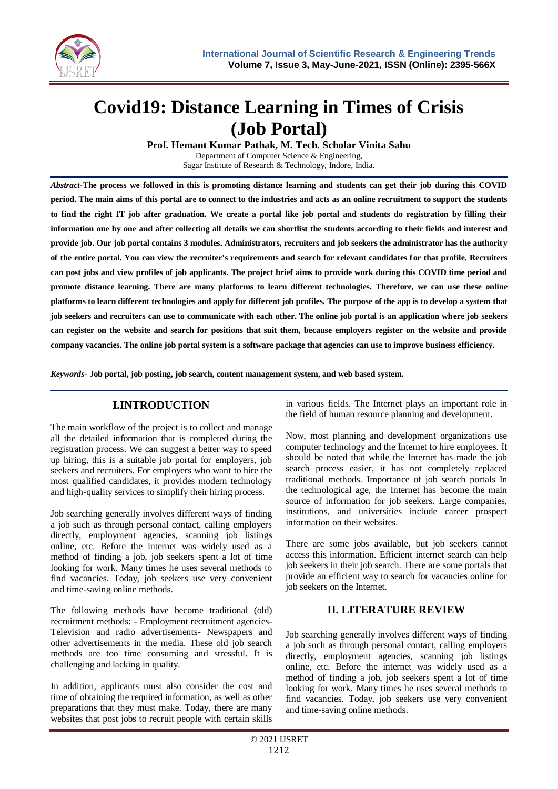

# **Covid19: Distance Learning in Times of Crisis (Job Portal)**

**Prof. Hemant Kumar Pathak, M. Tech. Scholar Vinita Sahu** 

Department of Computer Science & Engineering, Sagar Institute of Research & Technology, Indore, India.

*Abstract-***The process we followed in this is promoting distance learning and students can get their job during this COVID period. The main aims of this portal are to connect to the industries and acts as an online recruitment to support the students to find the right IT job after graduation. We create a portal like job portal and students do registration by filling their information one by one and after collecting all details we can shortlist the students according to their fields and interest and provide job. Our job portal contains 3 modules. Administrators, recruiters and job seekers the administrator has the authority of the entire portal. You can view the recruiter's requirements and search for relevant candidates for that profile. Recruiters can post jobs and view profiles of job applicants. The project brief aims to provide work during this COVID time period and promote distance learning. There are many platforms to learn different technologies. Therefore, we can use these online platforms to learn different technologies and apply for different job profiles. The purpose of the app is to develop a system that job seekers and recruiters can use to communicate with each other. The online job portal is an application where job seekers can register on the website and search for positions that suit them, because employers register on the website and provide company vacancies. The online job portal system is a software package that agencies can use to improve business efficiency.**

*Keywords***- Job portal, job posting, job search, content management system, and web based system.**

# **I.INTRODUCTION**

The main workflow of the project is to collect and manage all the detailed information that is completed during the registration process. We can suggest a better way to speed up hiring, this is a suitable job portal for employers, job seekers and recruiters. For employers who want to hire the most qualified candidates, it provides modern technology and high-quality services to simplify their hiring process.

Job searching generally involves different ways of finding a job such as through personal contact, calling employers directly, employment agencies, scanning job listings online, etc. Before the internet was widely used as a method of finding a job, job seekers spent a lot of time looking for work. Many times he uses several methods to find vacancies. Today, job seekers use very convenient and time-saving online methods.

The following methods have become traditional (old) recruitment methods: - Employment recruitment agencies-Television and radio advertisements- Newspapers and other advertisements in the media. These old job search methods are too time consuming and stressful. It is challenging and lacking in quality.

In addition, applicants must also consider the cost and time of obtaining the required information, as well as other preparations that they must make. Today, there are many websites that post jobs to recruit people with certain skills in various fields. The Internet plays an important role in the field of human resource planning and development.

Now, most planning and development organizations use computer technology and the Internet to hire employees. It should be noted that while the Internet has made the job search process easier, it has not completely replaced traditional methods. Importance of job search portals In the technological age, the Internet has become the main source of information for job seekers. Large companies, institutions, and universities include career prospect information on their websites.

There are some jobs available, but job seekers cannot access this information. Efficient internet search can help job seekers in their job search. There are some portals that provide an efficient way to search for vacancies online for job seekers on the Internet.

## **II. LITERATURE REVIEW**

Job searching generally involves different ways of finding a job such as through personal contact, calling employers directly, employment agencies, scanning job listings online, etc. Before the internet was widely used as a method of finding a job, job seekers spent a lot of time looking for work. Many times he uses several methods to find vacancies. Today, job seekers use very convenient and time-saving online methods.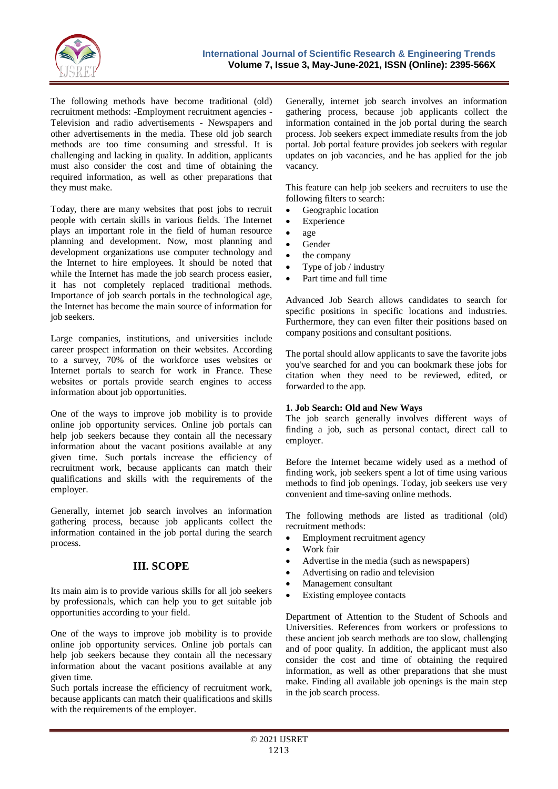

The following methods have become traditional (old) recruitment methods: -Employment recruitment agencies - Television and radio advertisements - Newspapers and other advertisements in the media. These old job search methods are too time consuming and stressful. It is challenging and lacking in quality. In addition, applicants must also consider the cost and time of obtaining the required information, as well as other preparations that they must make.

Today, there are many websites that post jobs to recruit people with certain skills in various fields. The Internet plays an important role in the field of human resource planning and development. Now, most planning and development organizations use computer technology and the Internet to hire employees. It should be noted that while the Internet has made the job search process easier, it has not completely replaced traditional methods. Importance of job search portals in the technological age, the Internet has become the main source of information for job seekers.

Large companies, institutions, and universities include career prospect information on their websites. According to a survey, 70% of the workforce uses websites or Internet portals to search for work in France. These websites or portals provide search engines to access information about job opportunities.

One of the ways to improve job mobility is to provide online job opportunity services. Online job portals can help job seekers because they contain all the necessary information about the vacant positions available at any given time. Such portals increase the efficiency of recruitment work, because applicants can match their qualifications and skills with the requirements of the employer.

Generally, internet job search involves an information gathering process, because job applicants collect the information contained in the job portal during the search process.

## **III. SCOPE**

Its main aim is to provide various skills for all job seekers by professionals, which can help you to get suitable job opportunities according to your field.

One of the ways to improve job mobility is to provide online job opportunity services. Online job portals can help job seekers because they contain all the necessary information about the vacant positions available at any given time.

Such portals increase the efficiency of recruitment work, because applicants can match their qualifications and skills with the requirements of the employer.

Generally, internet job search involves an information gathering process, because job applicants collect the information contained in the job portal during the search process. Job seekers expect immediate results from the job portal. Job portal feature provides job seekers with regular updates on job vacancies, and he has applied for the job vacancy.

This feature can help job seekers and recruiters to use the following filters to search:

- Geographic location
- Experience
- age
- Gender
- the company
- Type of job / industry
- Part time and full time

Advanced Job Search allows candidates to search for specific positions in specific locations and industries. Furthermore, they can even filter their positions based on company positions and consultant positions.

The portal should allow applicants to save the favorite jobs you've searched for and you can bookmark these jobs for citation when they need to be reviewed, edited, or forwarded to the app.

#### **1. Job Search: Old and New Ways**

The job search generally involves different ways of finding a job, such as personal contact, direct call to employer.

Before the Internet became widely used as a method of finding work, job seekers spent a lot of time using various methods to find job openings. Today, job seekers use very convenient and time-saving online methods.

The following methods are listed as traditional (old) recruitment methods:

- Employment recruitment agency
- Work fair
- Advertise in the media (such as newspapers)
- Advertising on radio and television
- Management consultant
- Existing employee contacts

Department of Attention to the Student of Schools and Universities. References from workers or professions to these ancient job search methods are too slow, challenging and of poor quality. In addition, the applicant must also consider the cost and time of obtaining the required information, as well as other preparations that she must make. Finding all available job openings is the main step in the job search process.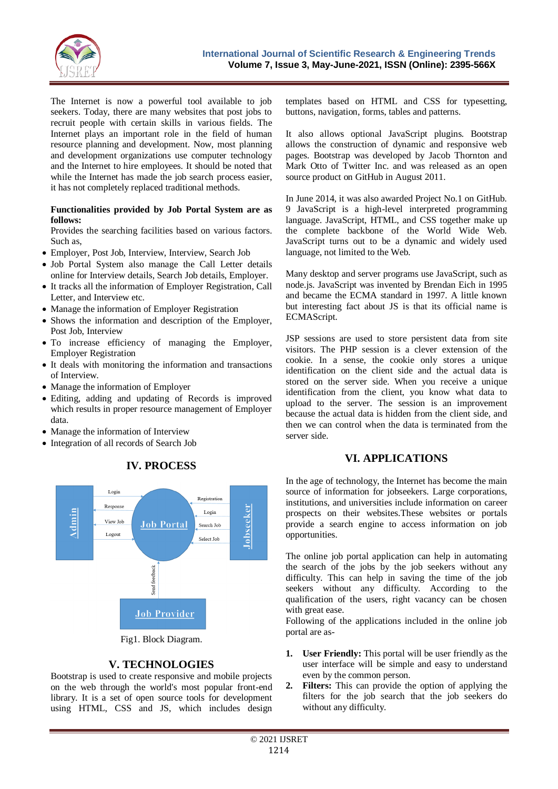

The Internet is now a powerful tool available to job seekers. Today, there are many websites that post jobs to recruit people with certain skills in various fields. The Internet plays an important role in the field of human resource planning and development. Now, most planning and development organizations use computer technology and the Internet to hire employees. It should be noted that while the Internet has made the job search process easier, it has not completely replaced traditional methods.

#### **Functionalities provided by Job Portal System are as follows:**

Provides the searching facilities based on various factors. Such as,

- Employer, Post Job, Interview, Interview, Search Job
- Job Portal System also manage the Call Letter details online for Interview details, Search Job details, Employer.
- It tracks all the information of Employer Registration, Call Letter, and Interview etc.
- Manage the information of Employer Registration
- Shows the information and description of the Employer, Post Job, Interview
- To increase efficiency of managing the Employer, Employer Registration
- It deals with monitoring the information and transactions of Interview.
- Manage the information of Employer
- Editing, adding and updating of Records is improved which results in proper resource management of Employer data.

**IV. PROCESS**

- Manage the information of Interview
- Integration of all records of Search Job



## **V. TECHNOLOGIES**

Bootstrap is used to create responsive and mobile projects on the web through the world's most popular front-end library. It is a set of open source tools for development using HTML, CSS and JS, which includes design

templates based on HTML and CSS for typesetting, buttons, navigation, forms, tables and patterns.

It also allows optional JavaScript plugins. Bootstrap allows the construction of dynamic and responsive web pages. Bootstrap was developed by Jacob Thornton and Mark Otto of Twitter Inc. and was released as an open source product on GitHub in August 2011.

In June 2014, it was also awarded Project No.1 on GitHub. 9 JavaScript is a high-level interpreted programming language. JavaScript, HTML, and CSS together make up the complete backbone of the World Wide Web. JavaScript turns out to be a dynamic and widely used language, not limited to the Web.

Many desktop and server programs use JavaScript, such as node.js. JavaScript was invented by Brendan Eich in 1995 and became the ECMA standard in 1997. A little known but interesting fact about JS is that its official name is ECMAScript.

JSP sessions are used to store persistent data from site visitors. The PHP session is a clever extension of the cookie. In a sense, the cookie only stores a unique identification on the client side and the actual data is stored on the server side. When you receive a unique identification from the client, you know what data to upload to the server. The session is an improvement because the actual data is hidden from the client side, and then we can control when the data is terminated from the server side.

## **VI. APPLICATIONS**

In the age of technology, the Internet has become the main source of information for jobseekers. Large corporations, institutions, and universities include information on career prospects on their websites.These websites or portals provide a search engine to access information on job opportunities.

The online job portal application can help in automating the search of the jobs by the job seekers without any difficulty. This can help in saving the time of the job seekers without any difficulty. According to the qualification of the users, right vacancy can be chosen with great ease.

Following of the applications included in the online job portal are as-

- **1. User Friendly:** This portal will be user friendly as the user interface will be simple and easy to understand even by the common person.
- **2. Filters:** This can provide the option of applying the filters for the job search that the job seekers do without any difficulty.